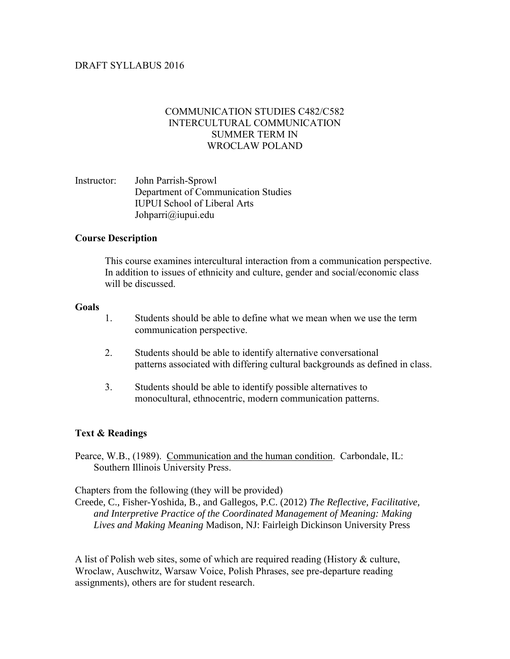# COMMUNICATION STUDIES C482/C582 INTERCULTURAL COMMUNICATION SUMMER TERM IN WROCLAW POLAND

Instructor: John Parrish-Sprowl Department of Communication Studies IUPUI School of Liberal Arts Johparri@iupui.edu

## **Course Description**

This course examines intercultural interaction from a communication perspective. In addition to issues of ethnicity and culture, gender and social/economic class will be discussed.

#### **Goals**

- 1. Students should be able to define what we mean when we use the term communication perspective.
- 2. Students should be able to identify alternative conversational patterns associated with differing cultural backgrounds as defined in class.
- 3. Students should be able to identify possible alternatives to monocultural, ethnocentric, modern communication patterns.

#### **Text & Readings**

Pearce, W.B., (1989). Communication and the human condition. Carbondale, IL: Southern Illinois University Press.

Chapters from the following (they will be provided)

Creede, C., Fisher-Yoshida, B., and Gallegos, P.C. (2012) *The Reflective, Facilitative, and Interpretive Practice of the Coordinated Management of Meaning: Making Lives and Making Meaning* Madison, NJ: Fairleigh Dickinson University Press

A list of Polish web sites, some of which are required reading (History & culture, Wroclaw, Auschwitz, Warsaw Voice, Polish Phrases, see pre-departure reading assignments), others are for student research.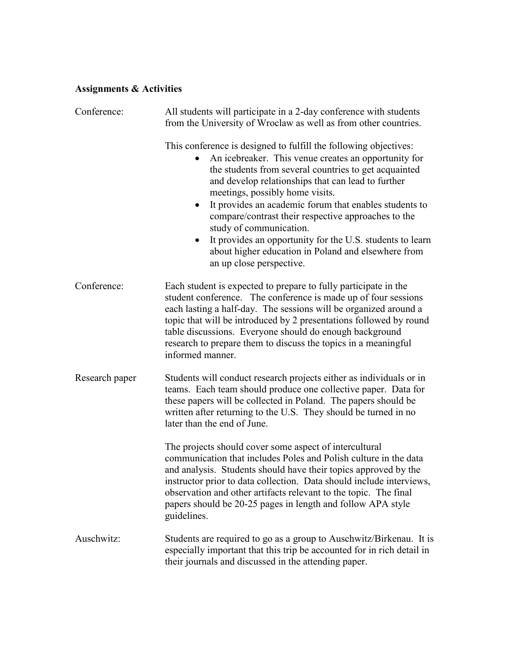# **Assignments & Activities**

| Conference:    | All students will participate in a 2-day conference with students<br>from the University of Wroclaw as well as from other countries.                                                                                                                                                                                                                                                                                                                                                                                                                                   |  |  |
|----------------|------------------------------------------------------------------------------------------------------------------------------------------------------------------------------------------------------------------------------------------------------------------------------------------------------------------------------------------------------------------------------------------------------------------------------------------------------------------------------------------------------------------------------------------------------------------------|--|--|
|                | This conference is designed to fulfill the following objectives:<br>An icebreaker. This venue creates an opportunity for<br>the students from several countries to get acquainted<br>and develop relationships that can lead to further<br>meetings, possibly home visits.<br>It provides an academic forum that enables students to<br>compare/contrast their respective approaches to the<br>study of communication.<br>It provides an opportunity for the U.S. students to learn<br>about higher education in Poland and elsewhere from<br>an up close perspective. |  |  |
| Conference:    | Each student is expected to prepare to fully participate in the<br>student conference. The conference is made up of four sessions<br>each lasting a half-day. The sessions will be organized around a<br>topic that will be introduced by 2 presentations followed by round<br>table discussions. Everyone should do enough background<br>research to prepare them to discuss the topics in a meaningful<br>informed manner.                                                                                                                                           |  |  |
| Research paper | Students will conduct research projects either as individuals or in<br>teams. Each team should produce one collective paper. Data for<br>these papers will be collected in Poland. The papers should be<br>written after returning to the U.S. They should be turned in no<br>later than the end of June.                                                                                                                                                                                                                                                              |  |  |
|                | The projects should cover some aspect of intercultural<br>communication that includes Poles and Polish culture in the data<br>and analysis. Students should have their topics approved by the<br>instructor prior to data collection. Data should include interviews,<br>observation and other artifacts relevant to the topic. The final<br>papers should be 20-25 pages in length and follow APA style<br>guidelines.                                                                                                                                                |  |  |
| Auschwitz:     | Students are required to go as a group to Auschwitz/Birkenau. It is<br>especially important that this trip be accounted for in rich detail in<br>their journals and discussed in the attending paper.                                                                                                                                                                                                                                                                                                                                                                  |  |  |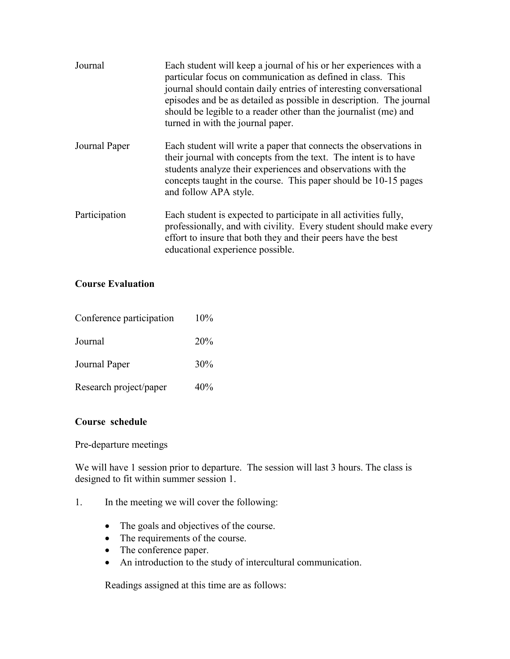| Journal       | Each student will keep a journal of his or her experiences with a<br>particular focus on communication as defined in class. This<br>journal should contain daily entries of interesting conversational<br>episodes and be as detailed as possible in description. The journal<br>should be legible to a reader other than the journalist (me) and<br>turned in with the journal paper. |
|---------------|----------------------------------------------------------------------------------------------------------------------------------------------------------------------------------------------------------------------------------------------------------------------------------------------------------------------------------------------------------------------------------------|
| Journal Paper | Each student will write a paper that connects the observations in<br>their journal with concepts from the text. The intent is to have<br>students analyze their experiences and observations with the<br>concepts taught in the course. This paper should be 10-15 pages<br>and follow APA style.                                                                                      |
| Participation | Each student is expected to participate in all activities fully,<br>professionally, and with civility. Every student should make every<br>effort to insure that both they and their peers have the best<br>educational experience possible.                                                                                                                                            |

# **Course Evaluation**

| Conference participation | 10%        |
|--------------------------|------------|
| Journal                  | <b>20%</b> |
| Journal Paper            | 30%        |
| Research project/paper   | 40%        |

# **Course schedule**

Pre-departure meetings

We will have 1 session prior to departure. The session will last 3 hours. The class is designed to fit within summer session 1.

- 1. In the meeting we will cover the following:
	- The goals and objectives of the course.
	- The requirements of the course.
	- The conference paper.
	- An introduction to the study of intercultural communication.

Readings assigned at this time are as follows: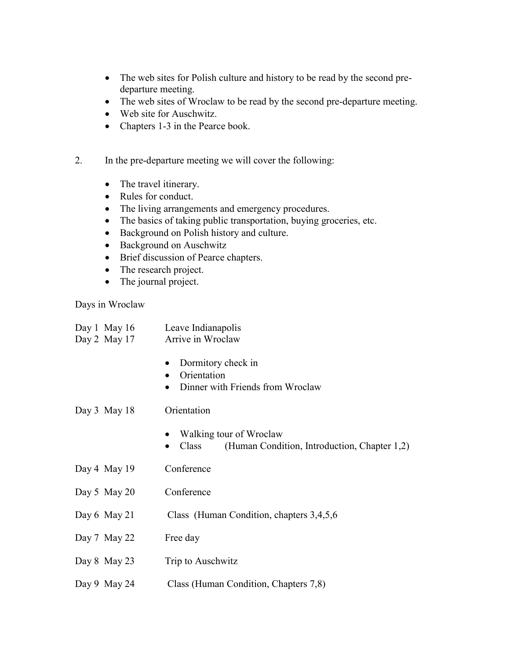- The web sites for Polish culture and history to be read by the second predeparture meeting.
- The web sites of Wroclaw to be read by the second pre-departure meeting.
- Web site for Auschwitz.
- Chapters 1-3 in the Pearce book.
- 2. In the pre-departure meeting we will cover the following:
	- The travel itinerary.
	- Rules for conduct.
	- The living arrangements and emergency procedures.
	- The basics of taking public transportation, buying groceries, etc.
	- Background on Polish history and culture.
	- Background on Auschwitz
	- Brief discussion of Pearce chapters.
	- The research project.
	- The journal project.

Days in Wroclaw

| Day 1 May $16$<br>Day 2 May 17 | Leave Indianapolis<br>Arrive in Wroclaw                                                              |  |  |
|--------------------------------|------------------------------------------------------------------------------------------------------|--|--|
|                                | Dormitory check in<br>٠<br>Orientation<br>$\bullet$<br>Dinner with Friends from Wroclaw<br>$\bullet$ |  |  |
| Day $3$ May 18                 | Orientation                                                                                          |  |  |
|                                | Walking tour of Wroclaw<br>(Human Condition, Introduction, Chapter 1,2)<br>Class<br>$\bullet$        |  |  |
| Day 4 May $19$                 | Conference                                                                                           |  |  |
| Day 5 May 20                   | Conference                                                                                           |  |  |
| Day $6$ May $21$               | Class (Human Condition, chapters 3,4,5,6                                                             |  |  |
| Day 7 May 22                   | Free day                                                                                             |  |  |
| Day 8 May 23                   | Trip to Auschwitz                                                                                    |  |  |

Day 9 May 24 Class (Human Condition, Chapters 7,8)